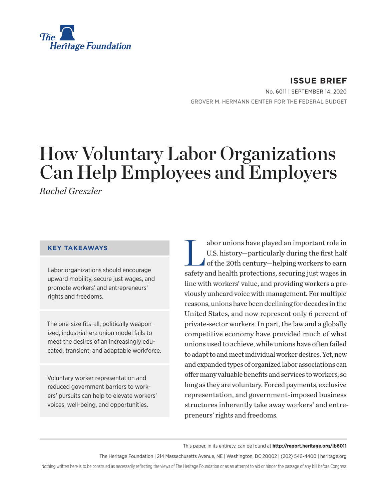

**ISSUE BRIEF** No. 6011 | September 14, 2020 GROVER M. HERMANN CENTER FOR THE FEDERAL BUDGET

# How Voluntary Labor Organizations Can Help Employees and Employers

*Rachel Greszler*

#### **KEY TAKEAWAYS**

Labor organizations should encourage upward mobility, secure just wages, and promote workers' and entrepreneurs' rights and freedoms.

The one-size fits-all, politically weaponized, industrial-era union model fails to meet the desires of an increasingly educated, transient, and adaptable workforce.

Voluntary worker representation and reduced government barriers to workers' pursuits can help to elevate workers' voices, well-being, and opportunities.

abor unions have played an important role in<br>U.S. history-particularly during the first half<br>of the 20th century-helping workers to earn U.S. history—particularly during the first half of the 20th century—helping workers to earn safety and health protections, securing just wages in line with workers' value, and providing workers a previously unheard voice with management. For multiple reasons, unions have been declining for decades in the United States, and now represent only 6 percent of private-sector workers. In part, the law and a globally competitive economy have provided much of what unions used to achieve, while unions have often failed to adapt to and meet individual worker desires. Yet, new and expanded types of organized labor associations can offer many valuable benefits and services to workers, so long as they are voluntary. Forced payments, exclusive representation, and government-imposed business structures inherently take away workers' and entrepreneurs' rights and freedoms.

#### This paper, in its entirety, can be found at **http://report.heritage.org/ib6011**

The Heritage Foundation | 214 Massachusetts Avenue, NE | Washington, DC 20002 | (202) 546-4400 | heritage.org

Nothing written here is to be construed as necessarily reflecting the views of The Heritage Foundation or as an attempt to aid or hinder the passage of any bill before Congress.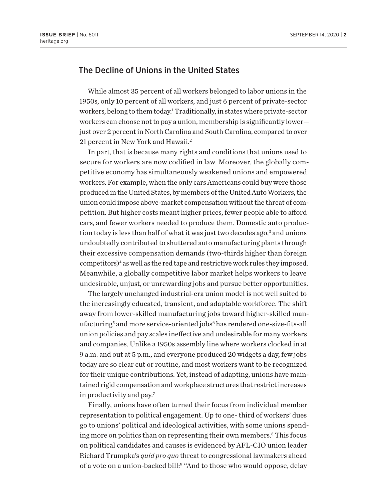## The Decline of Unions in the United States

While almost 35 percent of all workers belonged to labor unions in the 1950s, only 10 percent of all workers, and just 6 percent of private-sector workers, belong to them today.<sup>1</sup> Traditionally, in states where private-sector workers can choose not to pay a union, membership is significantly lower just over 2 percent in North Carolina and South Carolina, compared to over 21 percent in New York and Hawaii.2

In part, that is because many rights and conditions that unions used to secure for workers are now codified in law. Moreover, the globally competitive economy has simultaneously weakened unions and empowered workers. For example, when the only cars Americans could buy were those produced in the United States, by members of the United Auto Workers, the union could impose above-market compensation without the threat of competition. But higher costs meant higher prices, fewer people able to afford cars, and fewer workers needed to produce them. Domestic auto production today is less than half of what it was just two decades ago,<sup>3</sup> and unions undoubtedly contributed to shuttered auto manufacturing plants through their excessive compensation demands (two-thirds higher than foreign competitors)<sup>4</sup> as well as the red tape and restrictive work rules they imposed. Meanwhile, a globally competitive labor market helps workers to leave undesirable, unjust, or unrewarding jobs and pursue better opportunities.

The largely unchanged industrial-era union model is not well suited to the increasingly educated, transient, and adaptable workforce. The shift away from lower-skilled manufacturing jobs toward higher-skilled manufacturing<sup>5</sup> and more service-oriented jobs<sup>6</sup> has rendered one-size-fits-all union policies and pay scales ineffective and undesirable for many workers and companies. Unlike a 1950s assembly line where workers clocked in at 9 a.m. and out at 5 p.m., and everyone produced 20 widgets a day, few jobs today are so clear cut or routine, and most workers want to be recognized for their unique contributions. Yet, instead of adapting, unions have maintained rigid compensation and workplace structures that restrict increases in productivity and pay.7

Finally, unions have often turned their focus from individual member representation to political engagement. Up to one- third of workers' dues go to unions' political and ideological activities, with some unions spending more on politics than on representing their own members.8 This focus on political candidates and causes is evidenced by AFL-CIO union leader Richard Trumpka's *quid pro quo* threat to congressional lawmakers ahead of a vote on a union-backed bill:<sup>9</sup> "And to those who would oppose, delay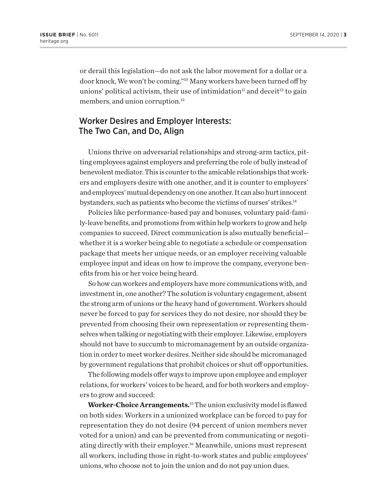or derail this legislation—do not ask the labor movement for a dollar or a door knock, We won't be coming."10 Many workers have been turned off by unions' political activism, their use of intimidation $<sup>11</sup>$  and deceit<sup>12</sup> to gain</sup> members, and union corruption.<sup>13</sup>

#### Worker Desires and Employer Interests: The Two Can, and Do, Align

Unions thrive on adversarial relationships and strong-arm tactics, pitting employees against employers and preferring the role of bully instead of benevolent mediator. This is counter to the amicable relationships that workers and employers desire with one another, and it is counter to employers' and employees' mutual dependency on one another. It can also hurt innocent bystanders, such as patients who become the victims of nurses' strikes.<sup>14</sup>

Policies like performance-based pay and bonuses, voluntary paid-family-leave benefits, and promotions from within help workers to grow and help companies to succeed. Direct communication is also mutually beneficial whether it is a worker being able to negotiate a schedule or compensation package that meets her unique needs, or an employer receiving valuable employee input and ideas on how to improve the company, everyone benefits from his or her voice being heard.

So how can workers and employers have more communications with, and investment in, one another? The solution is voluntary engagement, absent the strong arm of unions or the heavy hand of government. Workers should never be forced to pay for services they do not desire, nor should they be prevented from choosing their own representation or representing themselves when talking or negotiating with their employer. Likewise, employers should not have to succumb to micromanagement by an outside organization in order to meet worker desires. Neither side should be micromanaged by government regulations that prohibit choices or shut off opportunities.

The following models offer ways to improve upon employee and employer relations, for workers' voices to be heard, and for both workers and employers to grow and succeed:

**Worker-Choice Arrangements.**15 The union exclusivity model is flawed on both sides: Workers in a unionized workplace can be forced to pay for representation they do not desire (94 percent of union members never voted for a union) and can be prevented from communicating or negotiating directly with their employer.16 Meanwhile, unions must represent all workers, including those in right-to-work states and public employees' unions, who choose not to join the union and do not pay union dues.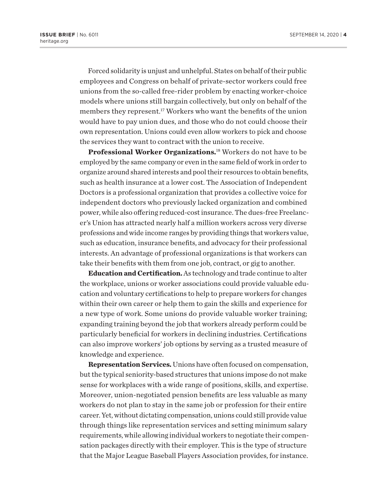Forced solidarity is unjust and unhelpful. States on behalf of their public employees and Congress on behalf of private-sector workers could free unions from the so-called free-rider problem by enacting worker-choice models where unions still bargain collectively, but only on behalf of the members they represent.17 Workers who want the benefits of the union would have to pay union dues, and those who do not could choose their own representation. Unions could even allow workers to pick and choose the services they want to contract with the union to receive.

**Professional Worker Organizations.**18 Workers do not have to be employed by the same company or even in the same field of work in order to organize around shared interests and pool their resources to obtain benefits, such as health insurance at a lower cost. The Association of Independent Doctors is a professional organization that provides a collective voice for independent doctors who previously lacked organization and combined power, while also offering reduced-cost insurance. The dues-free Freelancer's Union has attracted nearly half a million workers across very diverse professions and wide income ranges by providing things that workers value, such as education, insurance benefits, and advocacy for their professional interests. An advantage of professional organizations is that workers can take their benefits with them from one job, contract, or gig to another.

**Education and Certification.** As technology and trade continue to alter the workplace, unions or worker associations could provide valuable education and voluntary certifications to help to prepare workers for changes within their own career or help them to gain the skills and experience for a new type of work. Some unions do provide valuable worker training; expanding training beyond the job that workers already perform could be particularly beneficial for workers in declining industries. Certifications can also improve workers' job options by serving as a trusted measure of knowledge and experience.

**Representation Services.** Unions have often focused on compensation, but the typical seniority-based structures that unions impose do not make sense for workplaces with a wide range of positions, skills, and expertise. Moreover, union-negotiated pension benefits are less valuable as many workers do not plan to stay in the same job or profession for their entire career. Yet, without dictating compensation, unions could still provide value through things like representation services and setting minimum salary requirements, while allowing individual workers to negotiate their compensation packages directly with their employer. This is the type of structure that the Major League Baseball Players Association provides, for instance.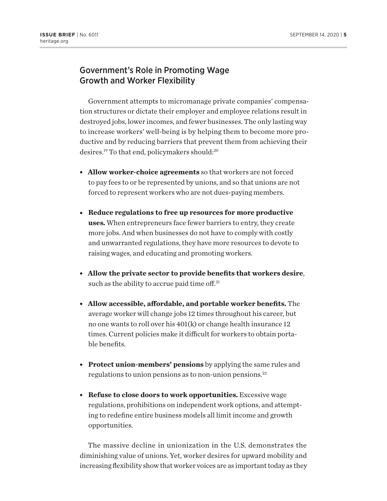### Government's Role in Promoting Wage Growth and Worker Flexibility

Government attempts to micromanage private companies' compensation structures or dictate their employer and employee relations result in destroyed jobs, lower incomes, and fewer businesses. The only lasting way to increase workers' well-being is by helping them to become more productive and by reducing barriers that prevent them from achieving their desires.<sup>19</sup> To that end, policymakers should:<sup>20</sup>

- **Allow worker-choice agreements** so that workers are not forced to pay fees to or be represented by unions, and so that unions are not forced to represent workers who are not dues-paying members.
- <sup>l</sup> **Reduce regulations to free up resources for more productive uses.** When entrepreneurs face fewer barriers to entry, they create more jobs. And when businesses do not have to comply with costly and unwarranted regulations, they have more resources to devote to raising wages, and educating and promoting workers.
- <sup>l</sup> **Allow the private sector to provide benefits that workers desire**, such as the ability to accrue paid time off. $21$
- <sup>l</sup> **Allow accessible, affordable, and portable worker benefits.** The average worker will change jobs 12 times throughout his career, but no one wants to roll over his 401(k) or change health insurance 12 times. Current policies make it difficult for workers to obtain portable benefits.
- **Protect union-members' pensions** by applying the same rules and regulations to union pensions as to non-union pensions.22
- **Refuse to close doors to work opportunities.** Excessive wage regulations, prohibitions on independent work options, and attempting to redefine entire business models all limit income and growth opportunities.

The massive decline in unionization in the U.S. demonstrates the diminishing value of unions. Yet, worker desires for upward mobility and increasing flexibility show that worker voices are as important today as they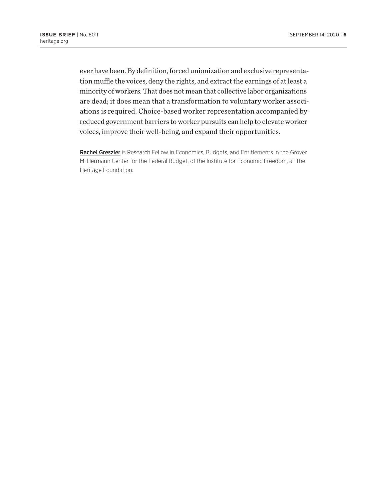ever have been. By definition, forced unionization and exclusive representation muffle the voices, deny the rights, and extract the earnings of at least a minority of workers. That does not mean that collective labor organizations are dead; it does mean that a transformation to voluntary worker associations is required. Choice-based worker representation accompanied by reduced government barriers to worker pursuits can help to elevate worker voices, improve their well-being, and expand their opportunities.

Rachel Greszler is Research Fellow in Economics, Budgets, and Entitlements in the Grover M. Hermann Center for the Federal Budget, of the Institute for Economic Freedom, at The Heritage Foundation.